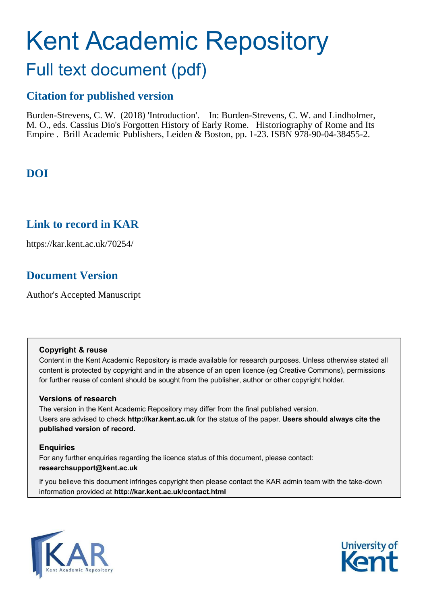# Kent Academic Repository Full text document (pdf)

# **Citation for published version**

Burden-Strevens, C. W. (2018) 'Introduction'. In: Burden-Strevens, C. W. and Lindholmer, M. O., eds. Cassius Dio's Forgotten History of Early Rome. Historiography of Rome and Its Empire . Brill Academic Publishers, Leiden & Boston, pp. 1-23. ISBN 978-90-04-38455-2.

# **DOI**

### **Link to record in KAR**

https://kar.kent.ac.uk/70254/

# **Document Version**

Author's Accepted Manuscript

#### **Copyright & reuse**

Content in the Kent Academic Repository is made available for research purposes. Unless otherwise stated all content is protected by copyright and in the absence of an open licence (eg Creative Commons), permissions for further reuse of content should be sought from the publisher, author or other copyright holder.

#### **Versions of research**

The version in the Kent Academic Repository may differ from the final published version. Users are advised to check **http://kar.kent.ac.uk** for the status of the paper. **Users should always cite the published version of record.**

#### **Enquiries**

For any further enquiries regarding the licence status of this document, please contact: **researchsupport@kent.ac.uk**

If you believe this document infringes copyright then please contact the KAR admin team with the take-down information provided at **http://kar.kent.ac.uk/contact.html**



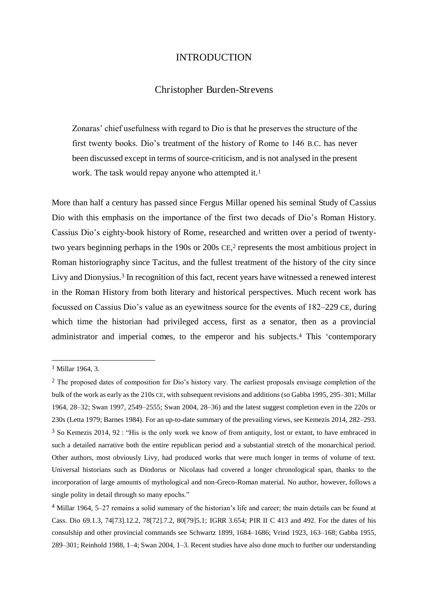#### INTRODUCTION

#### Christopher Burden-Strevens

Zonaras' chief usefulness with regard to Dio is that he preserves the structure of the first twenty books. Dio's treatment of the history of Rome to 146 B.C. has never been discussed except in terms of source-criticism, and is not analysed in the present work. The task would repay anyone who attempted it.<sup>1</sup>

More than half a century has passed since Fergus Millar opened his seminal Study of Cassius Dio with this emphasis on the importance of the first two decads of Dio's Roman History. Cassius Dio's eighty-book history of Rome, researched and written over a period of twentytwo years beginning perhaps in the 190s or 200s CE, <sup>2</sup> represents the most ambitious project in Roman historiography since Tacitus, and the fullest treatment of the history of the city since Livy and Dionysius.3 In recognition of this fact, recent years have witnessed a renewed interest in the Roman History from both literary and historical perspectives. Much recent work has focussed on Cassius Dio's value as an eyewitness source for the events of 182–229 CE, during which time the historian had privileged access, first as a senator, then as a provincial administrator and imperial comes, to the emperor and his subjects.4 This 'contemporary

<sup>1</sup> Millar 1964, 3.

<sup>&</sup>lt;sup>2</sup> The proposed dates of composition for Dio's history vary. The earliest proposals envisage completion of the bulk of the work as early as the 210s CE, with subsequent revisions and additions (so Gabba 1995, 295–301; Millar 1964, 28–32; Swan 1997, 2549–2555; Swan 2004, 28–36) and the latest suggest completion even in the 220s or 230s (Letta 1979; Barnes 1984). For an up-to-date summary of the prevailing views, see Kemezis 2014, 282–293.  $3$  So Kemezis 2014, 92 : "His is the only work we know of from antiquity, lost or extant, to have embraced in such a detailed narrative both the entire republican period and a substantial stretch of the monarchical period. Other authors, most obviously Livy, had produced works that were much longer in terms of volume of text. Universal historians such as Diodorus or Nicolaus had covered a longer chronological span, thanks to the incorporation of large amounts of mythological and non-Greco-Roman material. No author, however, follows a single polity in detail through so many epochs."

 $4$  Millar 1964, 5–27 remains a solid summary of the historian's life and career; the main details can be found at Cass. Dio 69.1.3, 74[73].12.2, 78[72].7.2, 80[79]5.1; IGRR 3.654; PIR II C 413 and 492. For the dates of his consulship and other provincial commands see Schwartz 1899, 1684–1686; Vrind 1923, 163–168; Gabba 1955, 289–301; Reinhold 1988, 1–4; Swan 2004, 1–3. Recent studies have also done much to further our understanding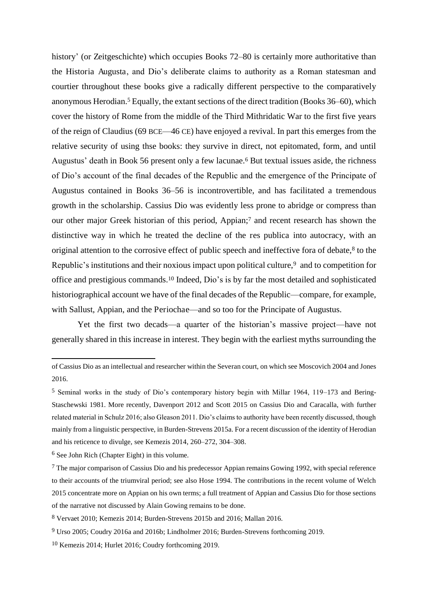history' (or Zeitgeschichte) which occupies Books 72–80 is certainly more authoritative than the Historia Augusta, and Dio's deliberate claims to authority as a Roman statesman and courtier throughout these books give a radically different perspective to the comparatively anonymous Herodian.5 Equally, the extant sections of the direct tradition (Books 36–60), which cover the history of Rome from the middle of the Third Mithridatic War to the first five years of the reign of Claudius (69 BCE—46 CE) have enjoyed a revival. In part this emerges from the relative security of using thse books: they survive in direct, not epitomated, form, and until Augustus' death in Book 56 present only a few lacunae.<sup>6</sup> But textual issues aside, the richness of Dio's account of the final decades of the Republic and the emergence of the Principate of Augustus contained in Books 36–56 is incontrovertible, and has facilitated a tremendous growth in the scholarship. Cassius Dio was evidently less prone to abridge or compress than our other major Greek historian of this period, Appian;7 and recent research has shown the distinctive way in which he treated the decline of the res publica into autocracy, with an original attention to the corrosive effect of public speech and ineffective fora of debate,<sup>8</sup> to the Republic's institutions and their noxious impact upon political culture,<sup>9</sup> and to competition for office and prestigious commands.10 Indeed, Dio's is by far the most detailed and sophisticated historiographical account we have of the final decades of the Republic—compare, for example, with Sallust, Appian, and the Periochae—and so too for the Principate of Augustus.

Yet the first two decads—a quarter of the historian's massive project—have not generally shared in this increase in interest. They begin with the earliest myths surrounding the

of Cassius Dio as an intellectual and researcher within the Severan court, on which see Moscovich 2004 and Jones 2016.

<sup>&</sup>lt;sup>5</sup> Seminal works in the study of Dio's contemporary history begin with Millar 1964, 119–173 and Bering-Staschewski 1981. More recently, Davenport 2012 and Scott 2015 on Cassius Dio and Caracalla, with further related material in Schulz 2016; also Gleason 2011. Dio's claims to authority have been recently discussed, though mainly from a linguistic perspective, in Burden-Strevens 2015a. For a recent discussion of the identity of Herodian and his reticence to divulge, see Kemezis 2014, 260–272, 304–308.

<sup>6</sup> See John Rich (Chapter Eight) in this volume.

<sup>7</sup> The major comparison of Cassius Dio and his predecessor Appian remains Gowing 1992, with special reference to their accounts of the triumviral period; see also Hose 1994. The contributions in the recent volume of Welch 2015 concentrate more on Appian on his own terms; a full treatment of Appian and Cassius Dio for those sections of the narrative not discussed by Alain Gowing remains to be done.

<sup>8</sup> Vervaet 2010; Kemezis 2014; Burden-Strevens 2015b and 2016; Mallan 2016.

<sup>9</sup> Urso 2005; Coudry 2016a and 2016b; Lindholmer 2016; Burden-Strevens forthcoming 2019.

<sup>10</sup> Kemezis 2014; Hurlet 2016; Coudry forthcoming 2019.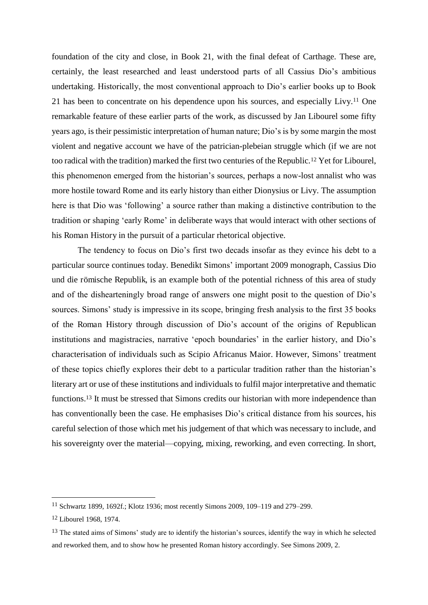foundation of the city and close, in Book 21, with the final defeat of Carthage. These are, certainly, the least researched and least understood parts of all Cassius Dio's ambitious undertaking. Historically, the most conventional approach to Dio's earlier books up to Book 21 has been to concentrate on his dependence upon his sources, and especially Livy.11 One remarkable feature of these earlier parts of the work, as discussed by Jan Libourel some fifty years ago, is their pessimistic interpretation of human nature; Dio's is by some margin the most violent and negative account we have of the patrician-plebeian struggle which (if we are not too radical with the tradition) marked the first two centuries of the Republic.12 Yet for Libourel, this phenomenon emerged from the historian's sources, perhaps a now-lost annalist who was more hostile toward Rome and its early history than either Dionysius or Livy. The assumption here is that Dio was 'following' a source rather than making a distinctive contribution to the tradition or shaping 'early Rome' in deliberate ways that would interact with other sections of his Roman History in the pursuit of a particular rhetorical objective.

The tendency to focus on Dio's first two decads insofar as they evince his debt to a particular source continues today. Benedikt Simons' important 2009 monograph, Cassius Dio und die römische Republik, is an example both of the potential richness of this area of study and of the dishearteningly broad range of answers one might posit to the question of Dio's sources. Simons' study is impressive in its scope, bringing fresh analysis to the first 35 books of the Roman History through discussion of Dio's account of the origins of Republican institutions and magistracies, narrative 'epoch boundaries' in the earlier history, and Dio's characterisation of individuals such as Scipio Africanus Maior. However, Simons' treatment of these topics chiefly explores their debt to a particular tradition rather than the historian's literary art or use of these institutions and individuals to fulfil major interpretative and thematic functions.13 It must be stressed that Simons credits our historian with more independence than has conventionally been the case. He emphasises Dio's critical distance from his sources, his careful selection of those which met his judgement of that which was necessary to include, and his sovereignty over the material—copying, mixing, reworking, and even correcting. In short,

<sup>11</sup> Schwartz 1899, 1692f.; Klotz 1936; most recently Simons 2009, 109–119 and 279–299.

<sup>12</sup> Libourel 1968, 1974.

<sup>&</sup>lt;sup>13</sup> The stated aims of Simons' study are to identify the historian's sources, identify the way in which he selected and reworked them, and to show how he presented Roman history accordingly. See Simons 2009, 2.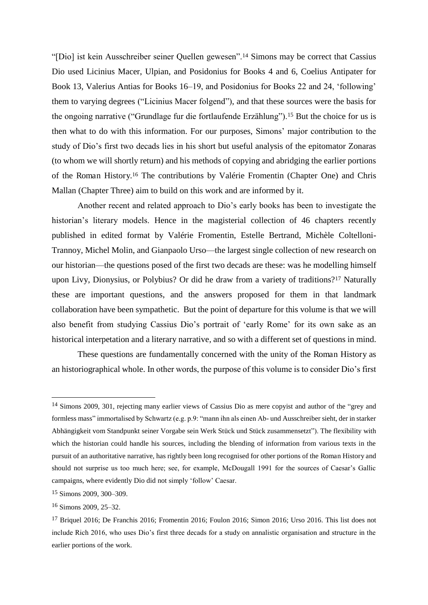"[Dio] ist kein Ausschreiber seiner Quellen gewesen".<sup>14</sup> Simons may be correct that Cassius Dio used Licinius Macer, Ulpian, and Posidonius for Books 4 and 6, Coelius Antipater for Book 13, Valerius Antias for Books 16–19, and Posidonius for Books 22 and 24, 'following' them to varying degrees ("Licinius Macer folgend"), and that these sources were the basis for the ongoing narrative ("Grundlage fur die fortlaufende Erzählung").<sup>15</sup> But the choice for us is then what to do with this information. For our purposes, Simons' major contribution to the study of Dio's first two decads lies in his short but useful analysis of the epitomator Zonaras (to whom we will shortly return) and his methods of copying and abridging the earlier portions of the Roman History.16 The contributions by Valérie Fromentin (Chapter One) and Chris Mallan (Chapter Three) aim to build on this work and are informed by it.

Another recent and related approach to Dio's early books has been to investigate the historian's literary models. Hence in the magisterial collection of 46 chapters recently published in edited format by Valérie Fromentin, Estelle Bertrand, Michèle Coltelloni-Trannoy, Michel Molin, and Gianpaolo Urso—the largest single collection of new research on our historian—the questions posed of the first two decads are these: was he modelling himself upon Livy, Dionysius, or Polybius? Or did he draw from a variety of traditions?17 Naturally these are important questions, and the answers proposed for them in that landmark collaboration have been sympathetic. But the point of departure for this volume is that we will also benefit from studying Cassius Dio's portrait of 'early Rome' for its own sake as an historical interpetation and a literary narrative, and so with a different set of questions in mind.

 These questions are fundamentally concerned with the unity of the Roman History as an historiographical whole. In other words, the purpose of this volume is to consider Dio's first

<sup>14</sup> Simons 2009, 301, rejecting many earlier views of Cassius Dio as mere copyist and author of the "grey and formless mass" immortalised by Schwartz (e.g. p.9: "mann ihn als einen Ab- und Ausschreiber sieht, der in starker Abhängigkeit vom Standpunkt seiner Vorgabe sein Werk Stück und Stück zusammensetzt"). The flexibility with which the historian could handle his sources, including the blending of information from various texts in the pursuit of an authoritative narrative, has rightly been long recognised for other portions of the Roman History and should not surprise us too much here; see, for example, McDougall 1991 for the sources of Caesar's Gallic campaigns, where evidently Dio did not simply 'follow' Caesar.

<sup>15</sup> Simons 2009, 300–309.

<sup>16</sup> Simons 2009, 25–32.

<sup>&</sup>lt;sup>17</sup> Briquel 2016; De Franchis 2016; Fromentin 2016; Foulon 2016; Simon 2016; Urso 2016. This list does not include Rich 2016, who uses Dio's first three decads for a study on annalistic organisation and structure in the earlier portions of the work.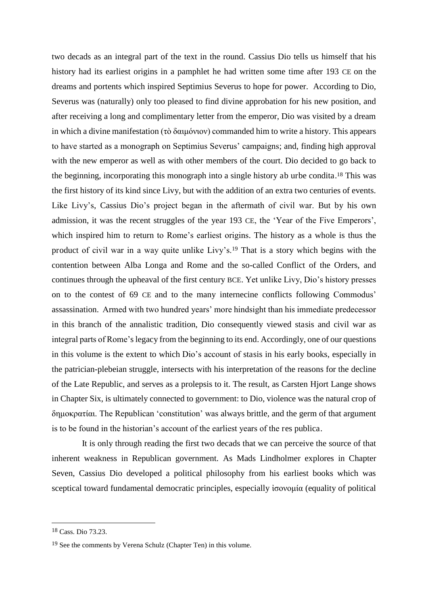two decads as an integral part of the text in the round. Cassius Dio tells us himself that his history had its earliest origins in a pamphlet he had written some time after 193 CE on the dreams and portents which inspired Septimius Severus to hope for power. According to Dio, Severus was (naturally) only too pleased to find divine approbation for his new position, and after receiving a long and complimentary letter from the emperor, Dio was visited by a dream in which a divine manifestation ( $\tau\delta$  δαιμόνιον) commanded him to write a history. This appears to have started as a monograph on Septimius Severus' campaigns; and, finding high approval with the new emperor as well as with other members of the court. Dio decided to go back to the beginning, incorporating this monograph into a single history ab urbe condita.18 This was the first history of its kind since Livy, but with the addition of an extra two centuries of events. Like Livy's, Cassius Dio's project began in the aftermath of civil war. But by his own admission, it was the recent struggles of the year 193 CE, the 'Year of the Five Emperors', which inspired him to return to Rome's earliest origins. The history as a whole is thus the product of civil war in a way quite unlike Livy's.<sup>19</sup> That is a story which begins with the contention between Alba Longa and Rome and the so-called Conflict of the Orders, and continues through the upheaval of the first century BCE. Yet unlike Livy, Dio's history presses on to the contest of 69 CE and to the many internecine conflicts following Commodus' assassination. Armed with two hundred years' more hindsight than his immediate predecessor in this branch of the annalistic tradition, Dio consequently viewed stasis and civil war as integral parts of Rome's legacy from the beginning to its end. Accordingly, one of our questions in this volume is the extent to which Dio's account of stasis in his early books, especially in the patrician-plebeian struggle, intersects with his interpretation of the reasons for the decline of the Late Republic, and serves as a prolepsis to it. The result, as Carsten Hjort Lange shows in Chapter Six, is ultimately connected to government: to Dio, violence was the natural crop of  $\delta$ ημοκρατίαι. The Republican 'constitution' was always brittle, and the germ of that argument is to be found in the historian's account of the earliest years of the res publica.

 It is only through reading the first two decads that we can perceive the source of that inherent weakness in Republican government. As Mads Lindholmer explores in Chapter Seven, Cassius Dio developed a political philosophy from his earliest books which was sceptical toward fundamental democratic principles, especially  $i\sigma$ ovo $\mu$ ía (equality of political

<sup>18</sup> Cass. Dio 73.23.

<sup>19</sup> See the comments by Verena Schulz (Chapter Ten) in this volume.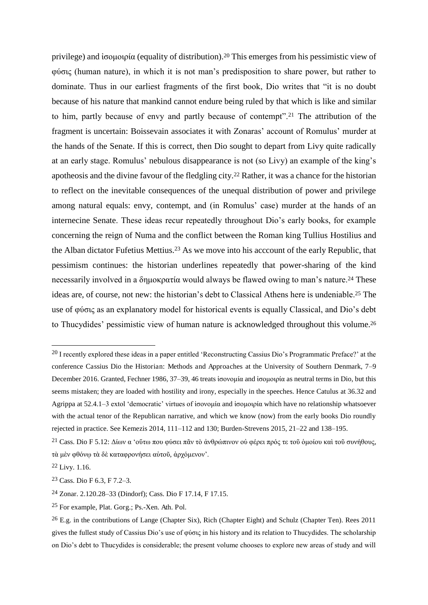privilege) and  $\alpha$  (equality of distribution).<sup>20</sup> This emerges from his pessimistic view of  $\phi$  (human nature), in which it is not man's predisposition to share power, but rather to dominate. Thus in our earliest fragments of the first book, Dio writes that "it is no doubt because of his nature that mankind cannot endure being ruled by that which is like and similar to him, partly because of envy and partly because of contempt" $\cdot$ <sup>21</sup>. The attribution of the fragment is uncertain: Boissevain associates it with Zonaras' account of Romulus' murder at the hands of the Senate. If this is correct, then Dio sought to depart from Livy quite radically at an early stage. Romulus' nebulous disappearance is not (so Livy) an example of the king's apotheosis and the divine favour of the fledgling city.22 Rather, it was a chance for the historian to reflect on the inevitable consequences of the unequal distribution of power and privilege among natural equals: envy, contempt, and (in Romulus' case) murder at the hands of an internecine Senate. These ideas recur repeatedly throughout Dio's early books, for example concerning the reign of Numa and the conflict between the Roman king Tullius Hostilius and the Alban dictator Fufetius Mettius.23 As we move into his acccount of the early Republic, that pessimism continues: the historian underlines repeatedly that power-sharing of the kind necessarily involved in a  $\delta$ ημοκρατία would always be flawed owing to man's nature.<sup>24</sup> These ideas are, of course, not new: the historian's debt to Classical Athens here is undeniable.<sup>25</sup> The use of φύσις as an explanatory model for historical events is equally Classical, and Dio's debt to Thucydides' pessimistic view of human nature is acknowledged throughout this volume.<sup>26</sup>

<sup>&</sup>lt;sup>20</sup> I recently explored these ideas in a paper entitled 'Reconstructing Cassius Dio's Programmatic Preface?' at the conference Cassius Dio the Historian: Methods and Approaches at the University of Southern Denmark, 7–9 December 2016. Granted, Fechner 1986, 37–39, 46 treats  $\frac{\partial \phi}{\partial \phi}$  and  $\frac{\partial \phi}{\partial \phi}$  as neutral terms in Dio, but this seems mistaken; they are loaded with hostility and irony, especially in the speeches. Hence Catulus at 36.32 and Agrippa at 52.4.1–3 extol 'democratic' virtues of  $i\sigma$ ονομία and  $i\sigma$ ομοιρία which have no relationship whatsoever with the actual tenor of the Republican narrative, and which we know (now) from the early books Dio roundly rejected in practice. See Kemezis 2014, 111–112 and 130; Burden-Strevens 2015, 21–22 and 138–195.

<sup>&</sup>lt;sup>21</sup> Cass. Dio F 5.12: Δίων α 'ούτω που φύσει πάν τὸ ἀνθρώπινον οὐ φέρει πρός τε τοῦ ὁμοίου καὶ τοῦ συνήθους, τά μεν φθόνω τα δε καταφρονήσει αυτού, αρχόμενον'.

<sup>22</sup> Livy. 1.16.

<sup>23</sup> Cass. Dio F 6.3, F 7.2–3.

<sup>24</sup> Zonar. 2.120.28–33 (Dindorf); Cass. Dio F 17.14, F 17.15.

<sup>25</sup> For example, Plat. Gorg.; Ps.-Xen. Ath. Pol.

<sup>26</sup> E.g. in the contributions of Lange (Chapter Six), Rich (Chapter Eight) and Schulz (Chapter Ten). Rees 2011 gives the fullest study of Cassius Dio's use of φύσις in his history and its relation to Thucydides. The scholarship on Dio's debt to Thucydides is considerable; the present volume chooses to explore new areas of study and will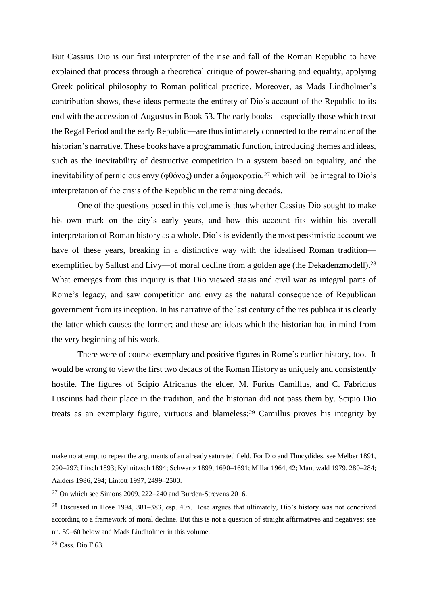But Cassius Dio is our first interpreter of the rise and fall of the Roman Republic to have explained that process through a theoretical critique of power-sharing and equality, applying Greek political philosophy to Roman political practice. Moreover, as Mads Lindholmer's contribution shows, these ideas permeate the entirety of Dio's account of the Republic to its end with the accession of Augustus in Book 53. The early books—especially those which treat the Regal Period and the early Republic—are thus intimately connected to the remainder of the historian's narrative. These books have a programmatic function, introducing themes and ideas, such as the inevitability of destructive competition in a system based on equality, and the inevitability of pernicious envy ( $\varphi\theta\acute{o}$ νος) under a δημοκρατία,<sup>27</sup> which will be integral to Dio's interpretation of the crisis of the Republic in the remaining decads.

 One of the questions posed in this volume is thus whether Cassius Dio sought to make his own mark on the city's early years, and how this account fits within his overall interpretation of Roman history as a whole. Dio's is evidently the most pessimistic account we have of these years, breaking in a distinctive way with the idealised Roman tradition exemplified by Sallust and Livy—of moral decline from a golden age (the Dekadenzmodell).<sup>28</sup> What emerges from this inquiry is that Dio viewed stasis and civil war as integral parts of Rome's legacy, and saw competition and envy as the natural consequence of Republican government from its inception. In his narrative of the last century of the res publica it is clearly the latter which causes the former; and these are ideas which the historian had in mind from the very beginning of his work.

There were of course exemplary and positive figures in Rome's earlier history, too. It would be wrong to view the first two decads of the Roman History as uniquely and consistently hostile. The figures of Scipio Africanus the elder, M. Furius Camillus, and C. Fabricius Luscinus had their place in the tradition, and the historian did not pass them by. Scipio Dio treats as an exemplary figure, virtuous and blameless;29 Camillus proves his integrity by

make no attempt to repeat the arguments of an already saturated field. For Dio and Thucydides, see Melber 1891, 290–297; Litsch 1893; Kyhnitzsch 1894; Schwartz 1899, 1690–1691; Millar 1964, 42; Manuwald 1979, 280–284; Aalders 1986, 294; Lintott 1997, 2499–2500.

<sup>27</sup> On which see Simons 2009, 222–240 and Burden-Strevens 2016.

<sup>&</sup>lt;sup>28</sup> Discussed in Hose 1994, 381–383, esp. 405. Hose argues that ultimately, Dio's history was not conceived according to a framework of moral decline. But this is not a question of straight affirmatives and negatives: see nn. 59–60 below and Mads Lindholmer in this volume.

 $29$  Cass. Dio F 63.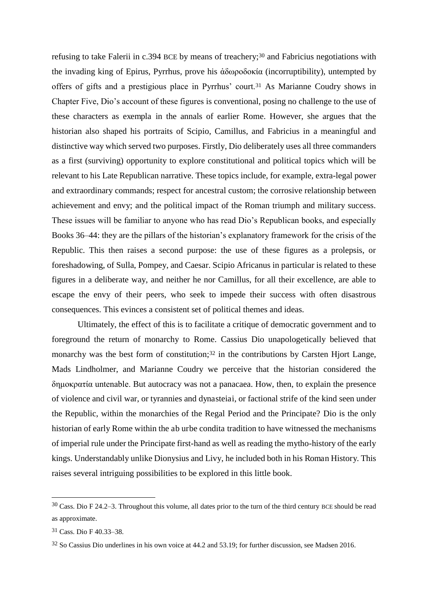refusing to take Falerii in c.394 BCE by means of treachery;<sup>30</sup> and Fabricius negotiations with the invading king of Epirus, Pyrrhus, prove his  $\dot{\alpha} \delta \omega \rho \delta \delta \alpha$  (incorruptibility), untempted by offers of gifts and a prestigious place in Pyrrhus' court.<sup>31</sup> As Marianne Coudry shows in Chapter Five, Dio's account of these figures is conventional, posing no challenge to the use of these characters as exempla in the annals of earlier Rome. However, she argues that the historian also shaped his portraits of Scipio, Camillus, and Fabricius in a meaningful and distinctive way which served two purposes. Firstly, Dio deliberately uses all three commanders as a first (surviving) opportunity to explore constitutional and political topics which will be relevant to his Late Republican narrative. These topics include, for example, extra-legal power and extraordinary commands; respect for ancestral custom; the corrosive relationship between achievement and envy; and the political impact of the Roman triumph and military success. These issues will be familiar to anyone who has read Dio's Republican books, and especially Books 36–44: they are the pillars of the historian's explanatory framework for the crisis of the Republic. This then raises a second purpose: the use of these figures as a prolepsis, or foreshadowing, of Sulla, Pompey, and Caesar. Scipio Africanus in particular is related to these figures in a deliberate way, and neither he nor Camillus, for all their excellence, are able to escape the envy of their peers, who seek to impede their success with often disastrous consequences. This evinces a consistent set of political themes and ideas.

Ultimately, the effect of this is to facilitate a critique of democratic government and to foreground the return of monarchy to Rome. Cassius Dio unapologetically believed that monarchy was the best form of constitution;<sup>32</sup> in the contributions by Carsten Hjort Lange, Mads Lindholmer, and Marianne Coudry we perceive that the historian considered the  $\delta$ ημοκρατία untenable. But autocracy was not a panacaea. How, then, to explain the presence of violence and civil war, or tyrannies and dynasteiai, or factional strife of the kind seen under the Republic, within the monarchies of the Regal Period and the Principate? Dio is the only historian of early Rome within the ab urbe condita tradition to have witnessed the mechanisms of imperial rule under the Principate first-hand as well as reading the mytho-history of the early kings. Understandably unlike Dionysius and Livy, he included both in his Roman History. This raises several intriguing possibilities to be explored in this little book.

<sup>30</sup> Cass. Dio F 24.2–3. Throughout this volume, all dates prior to the turn of the third century BCE should be read as approximate.

<sup>31</sup> Cass. Dio F 40.33–38.

<sup>32</sup> So Cassius Dio underlines in his own voice at 44.2 and 53.19; for further discussion, see Madsen 2016.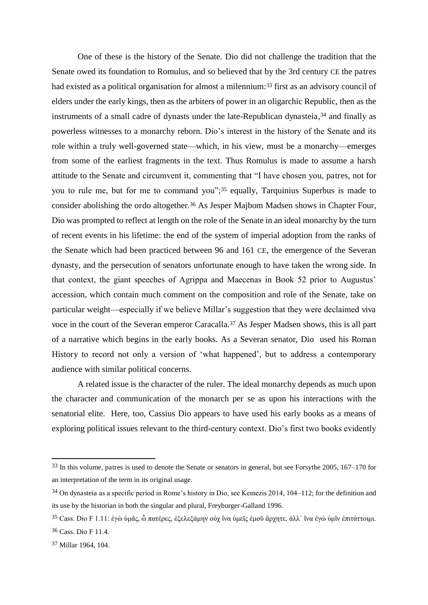One of these is the history of the Senate. Dio did not challenge the tradition that the Senate owed its foundation to Romulus, and so believed that by the 3rd century CE the patres had existed as a political organisation for almost a milennium:<sup>33</sup> first as an advisory council of elders under the early kings, then as the arbiters of power in an oligarchic Republic, then as the instruments of a small cadre of dynasts under the late-Republican dynasteia,<sup>34</sup> and finally as powerless witnesses to a monarchy reborn. Dio's interest in the history of the Senate and its role within a truly well-governed state—which, in his view, must be a monarchy—emerges from some of the earliest fragments in the text. Thus Romulus is made to assume a harsh attitude to the Senate and circumvent it, commenting that "I have chosen you, patres, not for you to rule me, but for me to command you";<sup>35</sup> equally, Tarquinius Superbus is made to consider abolishing the ordo altogether.<sup>36</sup> As Jesper Majbom Madsen shows in Chapter Four, Dio was prompted to reflect at length on the role of the Senate in an ideal monarchy by the turn of recent events in his lifetime: the end of the system of imperial adoption from the ranks of the Senate which had been practiced between 96 and 161 CE, the emergence of the Severan dynasty, and the persecution of senators unfortunate enough to have taken the wrong side. In that context, the giant speeches of Agrippa and Maecenas in Book 52 prior to Augustus' accession, which contain much comment on the composition and role of the Senate, take on particular weight—especially if we believe Millar's suggestion that they were declaimed viva voce in the court of the Severan emperor Caracalla.37 As Jesper Madsen shows, this is all part of a narrative which begins in the early books. As a Severan senator, Dio used his Roman History to record not only a version of 'what happened', but to address a contemporary audience with similar political concerns.

A related issue is the character of the ruler. The ideal monarchy depends as much upon the character and communication of the monarch per se as upon his interactions with the senatorial elite. Here, too, Cassius Dio appears to have used his early books as a means of exploring political issues relevant to the third-century context. Dio's first two books evidently

<sup>33</sup> In this volume, patres is used to denote the Senate or senators in general, but see Forsythe 2005, 167–170 for an interpretation of the term in its original usage.

 $34$  On dynasteia as a specific period in Rome's history in Dio, see Kemezis 2014, 104–112; for the definition and its use by the historian in both the singular and plural, Freyburger-Galland 1996.

 $35$  Cass. Dio F 1.11: έγὼ ύμᾶς, ὦ πατέρες, ἐξελεξάμην ούχ ἵνα ύμεῖς ἐμοῦ ἄρχητε, ἀλλ' ἵνα ἐγὼ ὑμῖν ἐπιτάττοιμι. 36 Cass. Dio F 11.4.

<sup>37</sup> Millar 1964, 104.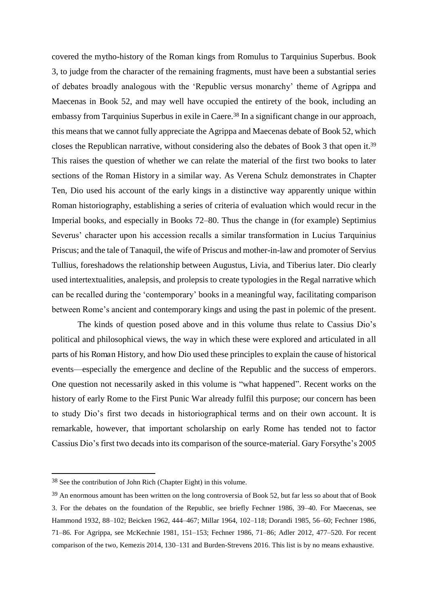covered the mytho-history of the Roman kings from Romulus to Tarquinius Superbus. Book 3, to judge from the character of the remaining fragments, must have been a substantial series of debates broadly analogous with the 'Republic versus monarchy' theme of Agrippa and Maecenas in Book 52, and may well have occupied the entirety of the book, including an embassy from Tarquinius Superbus in exile in Caere.<sup>38</sup> In a significant change in our approach, this means that we cannot fully appreciate the Agrippa and Maecenas debate of Book 52, which closes the Republican narrative, without considering also the debates of Book 3 that open it.<sup>39</sup> This raises the question of whether we can relate the material of the first two books to later sections of the Roman History in a similar way. As Verena Schulz demonstrates in Chapter Ten, Dio used his account of the early kings in a distinctive way apparently unique within Roman historiography, establishing a series of criteria of evaluation which would recur in the Imperial books, and especially in Books 72–80. Thus the change in (for example) Septimius Severus' character upon his accession recalls a similar transformation in Lucius Tarquinius Priscus; and the tale of Tanaquil, the wife of Priscus and mother-in-law and promoter of Servius Tullius, foreshadows the relationship between Augustus, Livia, and Tiberius later. Dio clearly used intertextualities, analepsis, and prolepsis to create typologies in the Regal narrative which can be recalled during the 'contemporary' books in a meaningful way, facilitating comparison between Rome's ancient and contemporary kings and using the past in polemic of the present.

The kinds of question posed above and in this volume thus relate to Cassius Dio's political and philosophical views, the way in which these were explored and articulated in all parts of his Roman History, and how Dio used these principles to explain the cause of historical events—especially the emergence and decline of the Republic and the success of emperors. One question not necessarily asked in this volume is "what happened". Recent works on the history of early Rome to the First Punic War already fulfil this purpose; our concern has been to study Dio's first two decads in historiographical terms and on their own account. It is remarkable, however, that important scholarship on early Rome has tended not to factor Cassius Dio's first two decads into its comparison of the source-material. Gary Forsythe's 2005

<sup>38</sup> See the contribution of John Rich (Chapter Eight) in this volume.

<sup>39</sup> An enormous amount has been written on the long controversia of Book 52, but far less so about that of Book 3. For the debates on the foundation of the Republic, see briefly Fechner 1986, 39–40. For Maecenas, see Hammond 1932, 88–102; Beicken 1962, 444–467; Millar 1964, 102–118; Dorandi 1985, 56–60; Fechner 1986, 71–86. For Agrippa, see McKechnie 1981, 151–153; Fechner 1986, 71–86; Adler 2012, 477–520. For recent comparison of the two, Kemezis 2014, 130–131 and Burden-Strevens 2016. This list is by no means exhaustive.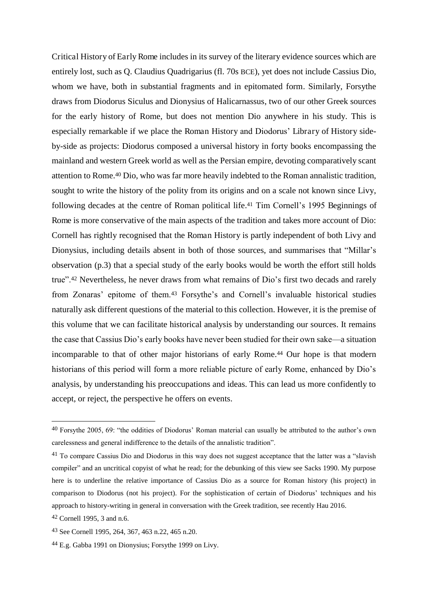Critical History of Early Rome includes in its survey of the literary evidence sources which are entirely lost, such as Q. Claudius Quadrigarius (fl. 70s BCE), yet does not include Cassius Dio, whom we have, both in substantial fragments and in epitomated form. Similarly, Forsythe draws from Diodorus Siculus and Dionysius of Halicarnassus, two of our other Greek sources for the early history of Rome, but does not mention Dio anywhere in his study. This is especially remarkable if we place the Roman History and Diodorus' Library of History sideby-side as projects: Diodorus composed a universal history in forty books encompassing the mainland and western Greek world as well as the Persian empire, devoting comparatively scant attention to Rome.40 Dio, who was far more heavily indebted to the Roman annalistic tradition, sought to write the history of the polity from its origins and on a scale not known since Livy, following decades at the centre of Roman political life.<sup>41</sup> Tim Cornell's 1995 Beginnings of Rome is more conservative of the main aspects of the tradition and takes more account of Dio: Cornell has rightly recognised that the Roman History is partly independent of both Livy and Dionysius, including details absent in both of those sources, and summarises that "Millar's observation (p.3) that a special study of the early books would be worth the effort still holds true".<sup>42</sup> Nevertheless, he never draws from what remains of Dio's first two decads and rarely from Zonaras' epitome of them.<sup>43</sup> Forsythe's and Cornell's invaluable historical studies naturally ask different questions of the material to this collection. However, it is the premise of this volume that we can facilitate historical analysis by understanding our sources. It remains the case that Cassius Dio's early books have never been studied for their own sake—a situation incomparable to that of other major historians of early Rome.<sup>44</sup> Our hope is that modern historians of this period will form a more reliable picture of early Rome, enhanced by Dio's analysis, by understanding his preoccupations and ideas. This can lead us more confidently to accept, or reject, the perspective he offers on events.

<sup>&</sup>lt;sup>40</sup> Forsythe 2005, 69: "the oddities of Diodorus' Roman material can usually be attributed to the author's own carelessness and general indifference to the details of the annalistic tradition".

<sup>41</sup> To compare Cassius Dio and Diodorus in this way does not suggest acceptance that the latter was a "slavish compiler" and an uncritical copyist of what he read; for the debunking of this view see Sacks 1990. My purpose here is to underline the relative importance of Cassius Dio as a source for Roman history (his project) in comparison to Diodorus (not his project). For the sophistication of certain of Diodorus' techniques and his approach to history-writing in general in conversation with the Greek tradition, see recently Hau 2016.

<sup>42</sup> Cornell 1995, 3 and n.6.

<sup>43</sup> See Cornell 1995, 264, 367, 463 n.22, 465 n.20.

<sup>44</sup> E.g. Gabba 1991 on Dionysius; Forsythe 1999 on Livy.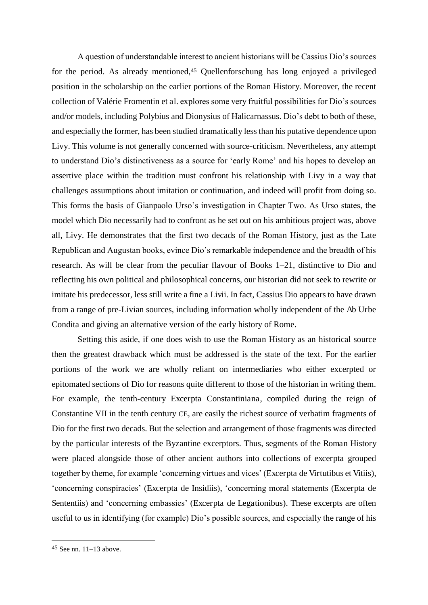A question of understandable interest to ancient historians will be Cassius Dio's sources for the period. As already mentioned,<sup>45</sup> Quellenforschung has long enjoyed a privileged position in the scholarship on the earlier portions of the Roman History. Moreover, the recent collection of Valérie Fromentin et al. explores some very fruitful possibilities for Dio's sources and/or models, including Polybius and Dionysius of Halicarnassus. Dio's debt to both of these, and especially the former, has been studied dramatically less than his putative dependence upon Livy. This volume is not generally concerned with source-criticism. Nevertheless, any attempt to understand Dio's distinctiveness as a source for 'early Rome' and his hopes to develop an assertive place within the tradition must confront his relationship with Livy in a way that challenges assumptions about imitation or continuation, and indeed will profit from doing so. This forms the basis of Gianpaolo Urso's investigation in Chapter Two. As Urso states, the model which Dio necessarily had to confront as he set out on his ambitious project was, above all, Livy. He demonstrates that the first two decads of the Roman History, just as the Late Republican and Augustan books, evince Dio's remarkable independence and the breadth of his research. As will be clear from the peculiar flavour of Books 1–21, distinctive to Dio and reflecting his own political and philosophical concerns, our historian did not seek to rewrite or imitate his predecessor, less still write a fine a Livii. In fact, Cassius Dio appears to have drawn from a range of pre-Livian sources, including information wholly independent of the Ab Urbe Condita and giving an alternative version of the early history of Rome.

Setting this aside, if one does wish to use the Roman History as an historical source then the greatest drawback which must be addressed is the state of the text. For the earlier portions of the work we are wholly reliant on intermediaries who either excerpted or epitomated sections of Dio for reasons quite different to those of the historian in writing them. For example, the tenth-century Excerpta Constantiniana, compiled during the reign of Constantine VII in the tenth century CE, are easily the richest source of verbatim fragments of Dio for the first two decads. But the selection and arrangement of those fragments was directed by the particular interests of the Byzantine excerptors. Thus, segments of the Roman History were placed alongside those of other ancient authors into collections of excerpta grouped together by theme, for example 'concerning virtues and vices' (Excerpta de Virtutibus et Vitiis), 'concerning conspiracies' (Excerpta de Insidiis), 'concerning moral statements (Excerpta de Sententiis) and 'concerning embassies' (Excerpta de Legationibus). These excerpts are often useful to us in identifying (for example) Dio's possible sources, and especially the range of his

 $45$  See nn.  $11-13$  above.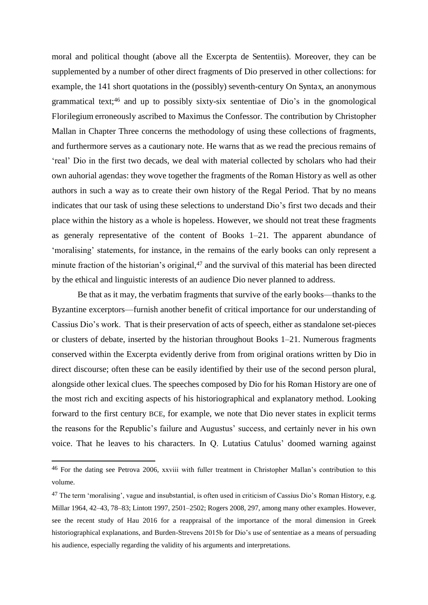moral and political thought (above all the Excerpta de Sententiis). Moreover, they can be supplemented by a number of other direct fragments of Dio preserved in other collections: for example, the 141 short quotations in the (possibly) seventh-century On Syntax, an anonymous grammatical text;46 and up to possibly sixty-six sententiae of Dio's in the gnomological Florilegium erroneously ascribed to Maximus the Confessor. The contribution by Christopher Mallan in Chapter Three concerns the methodology of using these collections of fragments, and furthermore serves as a cautionary note. He warns that as we read the precious remains of 'real' Dio in the first two decads, we deal with material collected by scholars who had their own auhorial agendas: they wove together the fragments of the Roman History as well as other authors in such a way as to create their own history of the Regal Period. That by no means indicates that our task of using these selections to understand Dio's first two decads and their place within the history as a whole is hopeless. However, we should not treat these fragments as generaly representative of the content of Books 1–21. The apparent abundance of 'moralising' statements, for instance, in the remains of the early books can only represent a minute fraction of the historian's original,<sup>47</sup> and the survival of this material has been directed by the ethical and linguistic interests of an audience Dio never planned to address.

Be that as it may, the verbatim fragments that survive of the early books—thanks to the Byzantine excerptors—furnish another benefit of critical importance for our understanding of Cassius Dio's work. That is their preservation of acts of speech, either as standalone set-pieces or clusters of debate, inserted by the historian throughout Books 1–21. Numerous fragments conserved within the Excerpta evidently derive from from original orations written by Dio in direct discourse; often these can be easily identified by their use of the second person plural, alongside other lexical clues. The speeches composed by Dio for his Roman History are one of the most rich and exciting aspects of his historiographical and explanatory method. Looking forward to the first century BCE, for example, we note that Dio never states in explicit terms the reasons for the Republic's failure and Augustus' success, and certainly never in his own voice. That he leaves to his characters. In Q. Lutatius Catulus' doomed warning against

<sup>&</sup>lt;sup>46</sup> For the dating see Petrova 2006, xxviii with fuller treatment in Christopher Mallan's contribution to this volume.

<sup>&</sup>lt;sup>47</sup> The term 'moralising', vague and insubstantial, is often used in criticism of Cassius Dio's Roman History, e.g. Millar 1964, 42–43, 78–83; Lintott 1997, 2501–2502; Rogers 2008, 297, among many other examples. However, see the recent study of Hau 2016 for a reappraisal of the importance of the moral dimension in Greek historiographical explanations, and Burden-Strevens 2015b for Dio's use of sententiae as a means of persuading his audience, especially regarding the validity of his arguments and interpretations.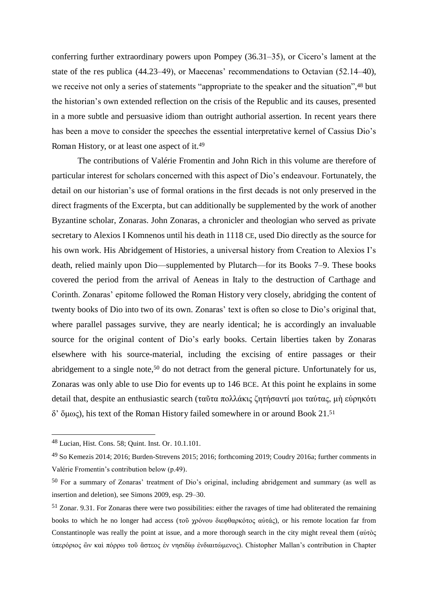conferring further extraordinary powers upon Pompey (36.31–35), or Cicero's lament at the state of the res publica (44.23–49), or Maecenas' recommendations to Octavian (52.14–40), we receive not only a series of statements "appropriate to the speaker and the situation",48 but the historian's own extended reflection on the crisis of the Republic and its causes, presented in a more subtle and persuasive idiom than outright authorial assertion. In recent years there has been a move to consider the speeches the essential interpretative kernel of Cassius Dio's Roman History, or at least one aspect of it.<sup>49</sup>

The contributions of Valérie Fromentin and John Rich in this volume are therefore of particular interest for scholars concerned with this aspect of Dio's endeavour. Fortunately, the detail on our historian's use of formal orations in the first decads is not only preserved in the direct fragments of the Excerpta, but can additionally be supplemented by the work of another Byzantine scholar, Zonaras. John Zonaras, a chronicler and theologian who served as private secretary to Alexios I Komnenos until his death in 1118 CE, used Dio directly as the source for his own work. His Abridgement of Histories, a universal history from Creation to Alexios I's death, relied mainly upon Dio—supplemented by Plutarch—for its Books 7–9. These books covered the period from the arrival of Aeneas in Italy to the destruction of Carthage and Corinth. Zonaras' epitome followed the Roman History very closely, abridging the content of twenty books of Dio into two of its own. Zonaras' text is often so close to Dio's original that, where parallel passages survive, they are nearly identical; he is accordingly an invaluable source for the original content of Dio's early books. Certain liberties taken by Zonaras elsewhere with his source-material, including the excising of entire passages or their abridgement to a single note,50 do not detract from the general picture. Unfortunately for us, Zonaras was only able to use Dio for events up to 146 BCE. At this point he explains in some detail that, despite an enthusiastic search (ταῦτα πολλάκις ζητήσαντί μοι ταύτας, μὴ εύρηκότι  $\delta'$   $\delta \mu \omega \zeta$ ), his text of the Roman History failed somewhere in or around Book 21.<sup>51</sup>

<sup>48</sup> Lucian, Hist. Cons. 58; Quint. Inst. Or. 10.1.101.

<sup>49</sup> So Kemezis 2014; 2016; Burden-Strevens 2015; 2016; forthcoming 2019; Coudry 2016a; further comments in Valérie Fromentin's contribution below (p.49).

<sup>50</sup> For a summary of Zonaras' treatment of Dio's original, including abridgement and summary (as well as insertion and deletion), see Simons 2009, esp. 29–30.

<sup>51</sup> Zonar. 9.31. For Zonaras there were two possibilities: either the ravages of time had obliterated the remaining books to which he no longer had access (τοῦ χρόνου διεφθαρκότος αὐτάς), or his remote location far from Constantinople was really the point at issue, and a more thorough search in the city might reveal them ( $\alpha \dot{\nu} \dot{\alpha} \dot{\beta}$ ύπερόριος ὢν καὶ πόρρω τοῦ ἄστεος ἐν νησιδίω ἐνδιαιτώμενος). Chistopher Mallan's contribution in Chapter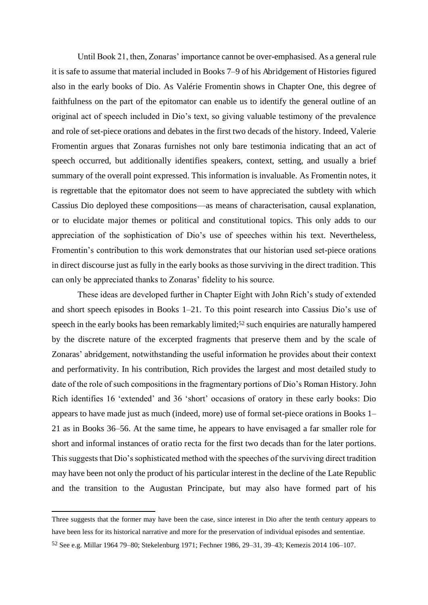Until Book 21, then, Zonaras' importance cannot be over-emphasised. As a general rule it is safe to assume that material included in Books 7–9 of his Abridgement of Histories figured also in the early books of Dio. As Valérie Fromentin shows in Chapter One, this degree of faithfulness on the part of the epitomator can enable us to identify the general outline of an original act of speech included in Dio's text, so giving valuable testimony of the prevalence and role of set-piece orations and debates in the first two decads of the history. Indeed, Valerie Fromentin argues that Zonaras furnishes not only bare testimonia indicating that an act of speech occurred, but additionally identifies speakers, context, setting, and usually a brief summary of the overall point expressed. This information is invaluable. As Fromentin notes, it is regrettable that the epitomator does not seem to have appreciated the subtlety with which Cassius Dio deployed these compositions—as means of characterisation, causal explanation, or to elucidate major themes or political and constitutional topics. This only adds to our appreciation of the sophistication of Dio's use of speeches within his text. Nevertheless, Fromentin's contribution to this work demonstrates that our historian used set-piece orations in direct discourse just as fully in the early books as those surviving in the direct tradition. This can only be appreciated thanks to Zonaras' fidelity to his source.

These ideas are developed further in Chapter Eight with John Rich's study of extended and short speech episodes in Books 1–21. To this point research into Cassius Dio's use of speech in the early books has been remarkably limited;<sup>52</sup> such enquiries are naturally hampered by the discrete nature of the excerpted fragments that preserve them and by the scale of Zonaras' abridgement, notwithstanding the useful information he provides about their context and performativity. In his contribution, Rich provides the largest and most detailed study to date of the role of such compositions in the fragmentary portions of Dio's Roman History. John Rich identifies 16 'extended' and 36 'short' occasions of oratory in these early books: Dio appears to have made just as much (indeed, more) use of formal set-piece orations in Books 1– 21 as in Books 36–56. At the same time, he appears to have envisaged a far smaller role for short and informal instances of oratio recta for the first two decads than for the later portions. This suggests that Dio's sophisticated method with the speeches of the surviving direct tradition may have been not only the product of his particular interest in the decline of the Late Republic and the transition to the Augustan Principate, but may also have formed part of his

Three suggests that the former may have been the case, since interest in Dio after the tenth century appears to have been less for its historical narrative and more for the preservation of individual episodes and sententiae.

<sup>52</sup> See e.g. Millar 1964 79–80; Stekelenburg 1971; Fechner 1986, 29–31, 39–43; Kemezis 2014 106–107.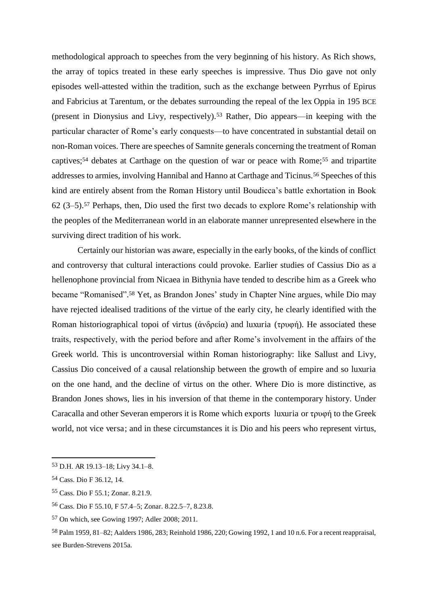methodological approach to speeches from the very beginning of his history. As Rich shows, the array of topics treated in these early speeches is impressive. Thus Dio gave not only episodes well-attested within the tradition, such as the exchange between Pyrrhus of Epirus and Fabricius at Tarentum, or the debates surrounding the repeal of the lex Oppia in 195 BCE (present in Dionysius and Livy, respectively).53 Rather, Dio appears—in keeping with the particular character of Rome's early conquests—to have concentrated in substantial detail on non-Roman voices. There are speeches of Samnite generals concerning the treatment of Roman captives;54 debates at Carthage on the question of war or peace with Rome;55 and tripartite addresses to armies, involving Hannibal and Hanno at Carthage and Ticinus.56 Speeches of this kind are entirely absent from the Roman History until Boudicca's battle exhortation in Book 62 (3–5).57 Perhaps, then, Dio used the first two decads to explore Rome's relationship with the peoples of the Mediterranean world in an elaborate manner unrepresented elsewhere in the surviving direct tradition of his work.

Certainly our historian was aware, especially in the early books, of the kinds of conflict and controversy that cultural interactions could provoke. Earlier studies of Cassius Dio as a hellenophone provincial from Nicaea in Bithynia have tended to describe him as a Greek who became "Romanised".<sup>58</sup> Yet, as Brandon Jones' study in Chapter Nine argues, while Dio may have rejected idealised traditions of the virtue of the early city, he clearly identified with the Roman historiographical topoi of virtus (ἀνδρεία) and luxuria (τρυφή). He associated these traits, respectively, with the period before and after Rome's involvement in the affairs of the Greek world. This is uncontroversial within Roman historiography: like Sallust and Livy, Cassius Dio conceived of a causal relationship between the growth of empire and so luxuria on the one hand, and the decline of virtus on the other. Where Dio is more distinctive, as Brandon Jones shows, lies in his inversion of that theme in the contemporary history. Under Caracalla and other Severan emperors it is Rome which exports luxuria or  $\tau \rho \nu \varphi \eta$  to the Greek world, not vice versa; and in these circumstances it is Dio and his peers who represent virtus,

<sup>53</sup> D.H. AR 19.13–18; Livy 34.1–8.

<sup>54</sup> Cass. Dio F 36.12, 14.

<sup>55</sup> Cass. Dio F 55.1; Zonar. 8.21.9.

<sup>56</sup> Cass. Dio F 55.10, F 57.4–5; Zonar. 8.22.5–7, 8.23.8.

<sup>57</sup> On which, see Gowing 1997; Adler 2008; 2011.

<sup>58</sup> Palm 1959, 81–82; Aalders 1986, 283; Reinhold 1986, 220; Gowing 1992, 1 and 10 n.6. For a recent reappraisal, see Burden-Strevens 2015a.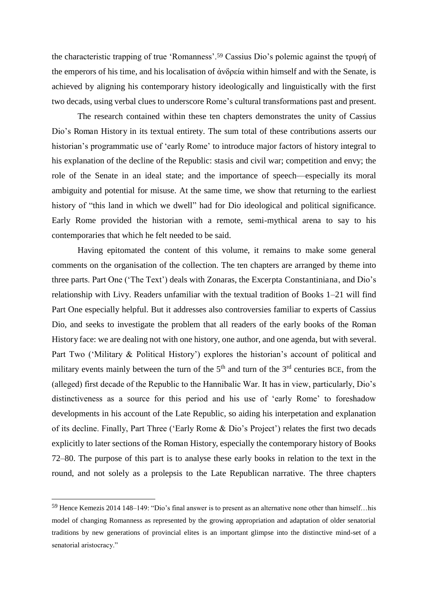the characteristic trapping of true 'Romanness'.<sup>59</sup> Cassius Dio's polemic against the  $\tau \rho \nu \phi \eta$  of the emperors of his time, and his localisation of ἀνδρεία within himself and with the Senate, is achieved by aligning his contemporary history ideologically and linguistically with the first two decads, using verbal clues to underscore Rome's cultural transformations past and present.

The research contained within these ten chapters demonstrates the unity of Cassius Dio's Roman History in its textual entirety. The sum total of these contributions asserts our historian's programmatic use of 'early Rome' to introduce major factors of history integral to his explanation of the decline of the Republic: stasis and civil war; competition and envy; the role of the Senate in an ideal state; and the importance of speech—especially its moral ambiguity and potential for misuse. At the same time, we show that returning to the earliest history of "this land in which we dwell" had for Dio ideological and political significance. Early Rome provided the historian with a remote, semi-mythical arena to say to his contemporaries that which he felt needed to be said.

Having epitomated the content of this volume, it remains to make some general comments on the organisation of the collection. The ten chapters are arranged by theme into three parts. Part One ('The Text') deals with Zonaras, the Excerpta Constantiniana, and Dio's relationship with Livy. Readers unfamiliar with the textual tradition of Books 1–21 will find Part One especially helpful. But it addresses also controversies familiar to experts of Cassius Dio, and seeks to investigate the problem that all readers of the early books of the Roman History face: we are dealing not with one history, one author, and one agenda, but with several. Part Two ('Military & Political History') explores the historian's account of political and military events mainly between the turn of the  $5<sup>th</sup>$  and turn of the  $3<sup>rd</sup>$  centuries BCE, from the (alleged) first decade of the Republic to the Hannibalic War. It has in view, particularly, Dio's distinctiveness as a source for this period and his use of 'early Rome' to foreshadow developments in his account of the Late Republic, so aiding his interpetation and explanation of its decline. Finally, Part Three ('Early Rome & Dio's Project') relates the first two decads explicitly to later sections of the Roman History, especially the contemporary history of Books 72–80. The purpose of this part is to analyse these early books in relation to the text in the round, and not solely as a prolepsis to the Late Republican narrative. The three chapters

<sup>&</sup>lt;sup>59</sup> Hence Kemezis 2014 148–149: "Dio's final answer is to present as an alternative none other than himself... his model of changing Romanness as represented by the growing appropriation and adaptation of older senatorial traditions by new generations of provincial elites is an important glimpse into the distinctive mind-set of a senatorial aristocracy."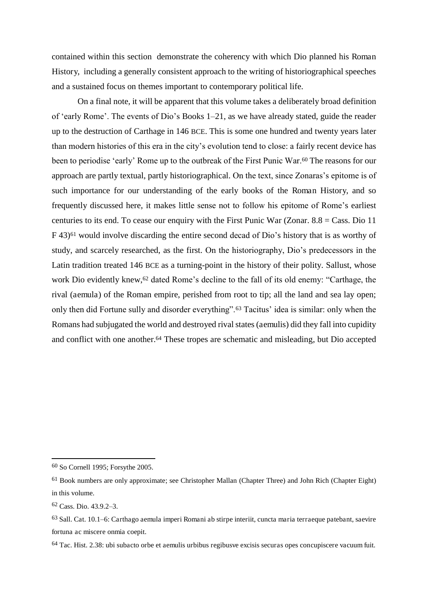contained within this section demonstrate the coherency with which Dio planned his Roman History, including a generally consistent approach to the writing of historiographical speeches and a sustained focus on themes important to contemporary political life.

 On a final note, it will be apparent that this volume takes a deliberately broad definition of 'early Rome'. The events of Dio's Books 1–21, as we have already stated, guide the reader up to the destruction of Carthage in 146 BCE. This is some one hundred and twenty years later than modern histories of this era in the city's evolution tend to close: a fairly recent device has been to periodise 'early' Rome up to the outbreak of the First Punic War.<sup>60</sup> The reasons for our approach are partly textual, partly historiographical. On the text, since Zonaras's epitome is of such importance for our understanding of the early books of the Roman History, and so frequently discussed here, it makes little sense not to follow his epitome of Rome's earliest centuries to its end. To cease our enquiry with the First Punic War (Zonar. 8.8 = Cass. Dio 11 F 43)61 would involve discarding the entire second decad of Dio's history that is as worthy of study, and scarcely researched, as the first. On the historiography, Dio's predecessors in the Latin tradition treated 146 BCE as a turning-point in the history of their polity. Sallust, whose work Dio evidently knew,<sup>62</sup> dated Rome's decline to the fall of its old enemy: "Carthage, the rival (aemula) of the Roman empire, perished from root to tip; all the land and sea lay open; only then did Fortune sully and disorder everything".<sup>63</sup> Tacitus' idea is similar: only when the Romans had subjugated the world and destroyed rival states (aemulis) did they fall into cupidity and conflict with one another.64 These tropes are schematic and misleading, but Dio accepted

<sup>60</sup> So Cornell 1995; Forsythe 2005.

<sup>61</sup> Book numbers are only approximate; see Christopher Mallan (Chapter Three) and John Rich (Chapter Eight) in this volume.

<sup>62</sup> Cass. Dio. 43.9.2–3.

<sup>63</sup> Sall. Cat. 10.1–6: Carthago aemula imperi Romani ab stirpe interiit, cuncta maria terraeque patebant, saevire fortuna ac miscere onmia coepit.

<sup>64</sup> Tac. Hist. 2.38: ubi subacto orbe et aemulis urbibus regibusve excisis securas opes concupiscere vacuum fuit.